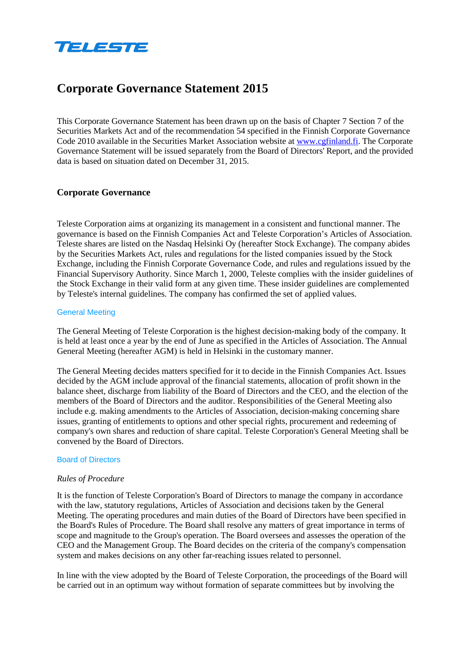

# **Corporate Governance Statement 2015**

This Corporate Governance Statement has been drawn up on the basis of Chapter 7 Section 7 of the Securities Markets Act and of the recommendation 54 specified in the Finnish Corporate Governance Code 2010 available in the Securities Market Association website at [www.cgfinland.fi.](http://www.cgfinland.fi/) The Corporate Governance Statement will be issued separately from the Board of Directors' Report, and the provided data is based on situation dated on December 31, 2015.

# **Corporate Governance**

Teleste Corporation aims at organizing its management in a consistent and functional manner. The governance is based on the Finnish Companies Act and Teleste Corporation's Articles of Association. Teleste shares are listed on the Nasdaq Helsinki Oy (hereafter Stock Exchange). The company abides by the Securities Markets Act, rules and regulations for the listed companies issued by the Stock Exchange, including the Finnish Corporate Governance Code, and rules and regulations issued by the Financial Supervisory Authority. Since March 1, 2000, Teleste complies with the insider guidelines of the Stock Exchange in their valid form at any given time. These insider guidelines are complemented by Teleste's internal guidelines. The company has confirmed the set of applied values.

#### General Meeting

The General Meeting of Teleste Corporation is the highest decision-making body of the company. It is held at least once a year by the end of June as specified in the Articles of Association. The Annual General Meeting (hereafter AGM) is held in Helsinki in the customary manner.

The General Meeting decides matters specified for it to decide in the Finnish Companies Act. Issues decided by the AGM include approval of the financial statements, allocation of profit shown in the balance sheet, discharge from liability of the Board of Directors and the CEO, and the election of the members of the Board of Directors and the auditor. Responsibilities of the General Meeting also include e.g. making amendments to the Articles of Association, decision-making concerning share issues, granting of entitlements to options and other special rights, procurement and redeeming of company's own shares and reduction of share capital. Teleste Corporation's General Meeting shall be convened by the Board of Directors.

#### Board of Directors

#### *Rules of Procedure*

It is the function of Teleste Corporation's Board of Directors to manage the company in accordance with the law, statutory regulations, Articles of Association and decisions taken by the General Meeting. The operating procedures and main duties of the Board of Directors have been specified in the Board's Rules of Procedure. The Board shall resolve any matters of great importance in terms of scope and magnitude to the Group's operation. The Board oversees and assesses the operation of the CEO and the Management Group. The Board decides on the criteria of the company's compensation system and makes decisions on any other far-reaching issues related to personnel.

In line with the view adopted by the Board of Teleste Corporation, the proceedings of the Board will be carried out in an optimum way without formation of separate committees but by involving the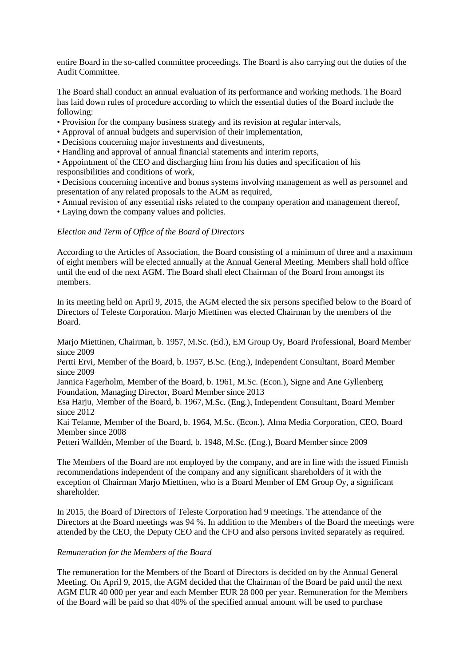entire Board in the so-called committee proceedings. The Board is also carrying out the duties of the Audit Committee.

The Board shall conduct an annual evaluation of its performance and working methods. The Board has laid down rules of procedure according to which the essential duties of the Board include the following:

- Provision for the company business strategy and its revision at regular intervals,
- Approval of annual budgets and supervision of their implementation,
- Decisions concerning major investments and divestments,
- Handling and approval of annual financial statements and interim reports,

• Appointment of the CEO and discharging him from his duties and specification of his responsibilities and conditions of work,

• Decisions concerning incentive and bonus systems involving management as well as personnel and presentation of any related proposals to the AGM as required,

• Annual revision of any essential risks related to the company operation and management thereof,

• Laying down the company values and policies.

## *Election and Term of Office of the Board of Directors*

According to the Articles of Association, the Board consisting of a minimum of three and a maximum of eight members will be elected annually at the Annual General Meeting. Members shall hold office until the end of the next AGM. The Board shall elect Chairman of the Board from amongst its members.

In its meeting held on April 9, 2015, the AGM elected the six persons specified below to the Board of Directors of Teleste Corporation. Marjo Miettinen was elected Chairman by the members of the Board.

Marjo Miettinen, Chairman, b. 1957, M.Sc. (Ed.), EM Group Oy, Board Professional, Board Member since 2009

Pertti Ervi, Member of the Board, b. 1957, B.Sc. (Eng.), Independent Consultant, Board Member since 2009

Jannica Fagerholm, Member of the Board, b. 1961, M.Sc. (Econ.), Signe and Ane Gyllenberg Foundation, Managing Director, Board Member since 2013

Esa Harju, Member of the Board, b. 1967, M.Sc. (Eng.), Independent Consultant, Board Member since 2012

Kai Telanne, Member of the Board, b. 1964, M.Sc. (Econ.), Alma Media Corporation, CEO, Board Member since 2008

Petteri Walldén, Member of the Board, b. 1948, M.Sc. (Eng.), Board Member since 2009

The Members of the Board are not employed by the company, and are in line with the issued Finnish recommendations independent of the company and any significant shareholders of it with the exception of Chairman Marjo Miettinen, who is a Board Member of EM Group Oy, a significant shareholder.

In 2015, the Board of Directors of Teleste Corporation had 9 meetings. The attendance of the Directors at the Board meetings was 94 %. In addition to the Members of the Board the meetings were attended by the CEO, the Deputy CEO and the CFO and also persons invited separately as required.

#### *Remuneration for the Members of the Board*

The remuneration for the Members of the Board of Directors is decided on by the Annual General Meeting. On April 9, 2015, the AGM decided that the Chairman of the Board be paid until the next AGM EUR 40 000 per year and each Member EUR 28 000 per year. Remuneration for the Members of the Board will be paid so that 40% of the specified annual amount will be used to purchase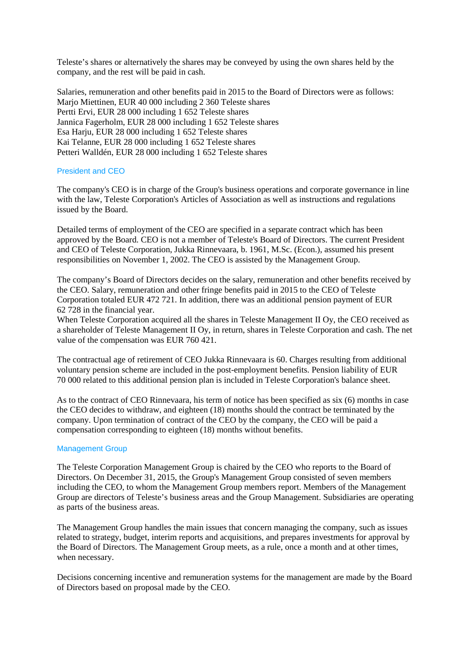Teleste's shares or alternatively the shares may be conveyed by using the own shares held by the company, and the rest will be paid in cash.

Salaries, remuneration and other benefits paid in 2015 to the Board of Directors were as follows: Marjo Miettinen, EUR 40 000 including 2 360 Teleste shares Pertti Ervi, EUR 28 000 including 1 652 Teleste shares Jannica Fagerholm, EUR 28 000 including 1 652 Teleste shares Esa Harju, EUR 28 000 including 1 652 Teleste shares Kai Telanne, EUR 28 000 including 1 652 Teleste shares Petteri Walldén, EUR 28 000 including 1 652 Teleste shares

## President and CEO

The company's CEO is in charge of the Group's business operations and corporate governance in line with the law, Teleste Corporation's Articles of Association as well as instructions and regulations issued by the Board.

Detailed terms of employment of the CEO are specified in a separate contract which has been approved by the Board. CEO is not a member of Teleste's Board of Directors. The current President and CEO of Teleste Corporation, Jukka Rinnevaara, b. 1961, M.Sc. (Econ.), assumed his present responsibilities on November 1, 2002. The CEO is assisted by the Management Group.

The company's Board of Directors decides on the salary, remuneration and other benefits received by the CEO. Salary, remuneration and other fringe benefits paid in 2015 to the CEO of Teleste Corporation totaled EUR 472 721. In addition, there was an additional pension payment of EUR 62 728 in the financial year.

When Teleste Corporation acquired all the shares in Teleste Management II Oy, the CEO received as a shareholder of Teleste Management II Oy, in return, shares in Teleste Corporation and cash. The net value of the compensation was EUR 760 421.

The contractual age of retirement of CEO Jukka Rinnevaara is 60. Charges resulting from additional voluntary pension scheme are included in the post-employment benefits. Pension liability of EUR 70 000 related to this additional pension plan is included in Teleste Corporation's balance sheet.

As to the contract of CEO Rinnevaara, his term of notice has been specified as six (6) months in case the CEO decides to withdraw, and eighteen (18) months should the contract be terminated by the company. Upon termination of contract of the CEO by the company, the CEO will be paid a compensation corresponding to eighteen (18) months without benefits.

#### Management Group

The Teleste Corporation Management Group is chaired by the CEO who reports to the Board of Directors. On December 31, 2015, the Group's Management Group consisted of seven members including the CEO, to whom the Management Group members report. Members of the Management Group are directors of Teleste's business areas and the Group Management. Subsidiaries are operating as parts of the business areas.

The Management Group handles the main issues that concern managing the company, such as issues related to strategy, budget, interim reports and acquisitions, and prepares investments for approval by the Board of Directors. The Management Group meets, as a rule, once a month and at other times, when necessary.

Decisions concerning incentive and remuneration systems for the management are made by the Board of Directors based on proposal made by the CEO.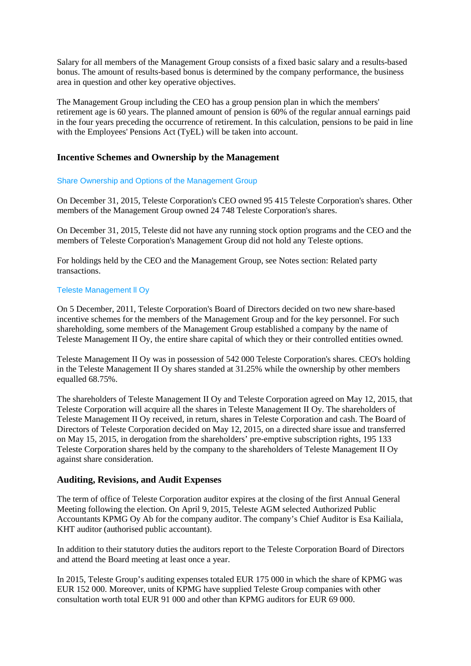Salary for all members of the Management Group consists of a fixed basic salary and a results-based bonus. The amount of results-based bonus is determined by the company performance, the business area in question and other key operative objectives.

The Management Group including the CEO has a group pension plan in which the members' retirement age is 60 years. The planned amount of pension is 60% of the regular annual earnings paid in the four years preceding the occurrence of retirement. In this calculation, pensions to be paid in line with the Employees' Pensions Act (TyEL) will be taken into account.

# **Incentive Schemes and Ownership by the Management**

## Share Ownership and Options of the Management Group

On December 31, 2015, Teleste Corporation's CEO owned 95 415 Teleste Corporation's shares. Other members of the Management Group owned 24 748 Teleste Corporation's shares.

On December 31, 2015, Teleste did not have any running stock option programs and the CEO and the members of Teleste Corporation's Management Group did not hold any Teleste options.

For holdings held by the CEO and the Management Group, see Notes section: Related party transactions.

## Teleste Management ll Oy

On 5 December, 2011, Teleste Corporation's Board of Directors decided on two new share-based incentive schemes for the members of the Management Group and for the key personnel. For such shareholding, some members of the Management Group established a company by the name of Teleste Management II Oy, the entire share capital of which they or their controlled entities owned.

Teleste Management II Oy was in possession of 542 000 Teleste Corporation's shares. CEO's holding in the Teleste Management II Oy shares standed at 31.25% while the ownership by other members equalled 68.75%.

The shareholders of Teleste Management II Oy and Teleste Corporation agreed on May 12, 2015, that Teleste Corporation will acquire all the shares in Teleste Management II Oy. The shareholders of Teleste Management II Oy received, in return, shares in Teleste Corporation and cash. The Board of Directors of Teleste Corporation decided on May 12, 2015, on a directed share issue and transferred on May 15, 2015, in derogation from the shareholders' pre-emptive subscription rights, 195 133 Teleste Corporation shares held by the company to the shareholders of Teleste Management II Oy against share consideration.

## **Auditing, Revisions, and Audit Expenses**

The term of office of Teleste Corporation auditor expires at the closing of the first Annual General Meeting following the election. On April 9, 2015, Teleste AGM selected Authorized Public Accountants KPMG Oy Ab for the company auditor. The company's Chief Auditor is Esa Kailiala, KHT auditor (authorised public accountant).

In addition to their statutory duties the auditors report to the Teleste Corporation Board of Directors and attend the Board meeting at least once a year.

In 2015, Teleste Group's auditing expenses totaled EUR 175 000 in which the share of KPMG was EUR 152 000. Moreover, units of KPMG have supplied Teleste Group companies with other consultation worth total EUR 91 000 and other than KPMG auditors for EUR 69 000.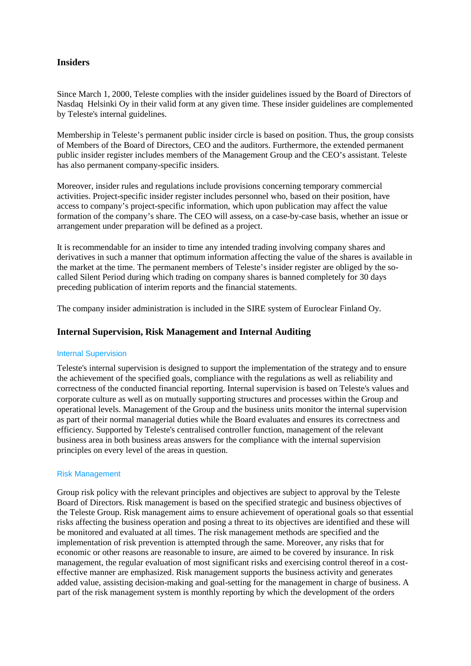# **Insiders**

Since March 1, 2000, Teleste complies with the insider guidelines issued by the Board of Directors of Nasdaq Helsinki Oy in their valid form at any given time. These insider guidelines are complemented by Teleste's internal guidelines.

Membership in Teleste's permanent public insider circle is based on position. Thus, the group consists of Members of the Board of Directors, CEO and the auditors. Furthermore, the extended permanent public insider register includes members of the Management Group and the CEO's assistant. Teleste has also permanent company-specific insiders.

Moreover, insider rules and regulations include provisions concerning temporary commercial activities. Project-specific insider register includes personnel who, based on their position, have access to company's project-specific information, which upon publication may affect the value formation of the company's share. The CEO will assess, on a case-by-case basis, whether an issue or arrangement under preparation will be defined as a project.

It is recommendable for an insider to time any intended trading involving company shares and derivatives in such a manner that optimum information affecting the value of the shares is available in the market at the time. The permanent members of Teleste's insider register are obliged by the socalled Silent Period during which trading on company shares is banned completely for 30 days preceding publication of interim reports and the financial statements.

The company insider administration is included in the SIRE system of Euroclear Finland Oy.

# **Internal Supervision, Risk Management and Internal Auditing**

## Internal Supervision

Teleste's internal supervision is designed to support the implementation of the strategy and to ensure the achievement of the specified goals, compliance with the regulations as well as reliability and correctness of the conducted financial reporting. Internal supervision is based on Teleste's values and corporate culture as well as on mutually supporting structures and processes within the Group and operational levels. Management of the Group and the business units monitor the internal supervision as part of their normal managerial duties while the Board evaluates and ensures its correctness and efficiency. Supported by Teleste's centralised controller function, management of the relevant business area in both business areas answers for the compliance with the internal supervision principles on every level of the areas in question.

#### Risk Management

Group risk policy with the relevant principles and objectives are subject to approval by the Teleste Board of Directors. Risk management is based on the specified strategic and business objectives of the Teleste Group. Risk management aims to ensure achievement of operational goals so that essential risks affecting the business operation and posing a threat to its objectives are identified and these will be monitored and evaluated at all times. The risk management methods are specified and the implementation of risk prevention is attempted through the same. Moreover, any risks that for economic or other reasons are reasonable to insure, are aimed to be covered by insurance. In risk management, the regular evaluation of most significant risks and exercising control thereof in a costeffective manner are emphasized. Risk management supports the business activity and generates added value, assisting decision-making and goal-setting for the management in charge of business. A part of the risk management system is monthly reporting by which the development of the orders